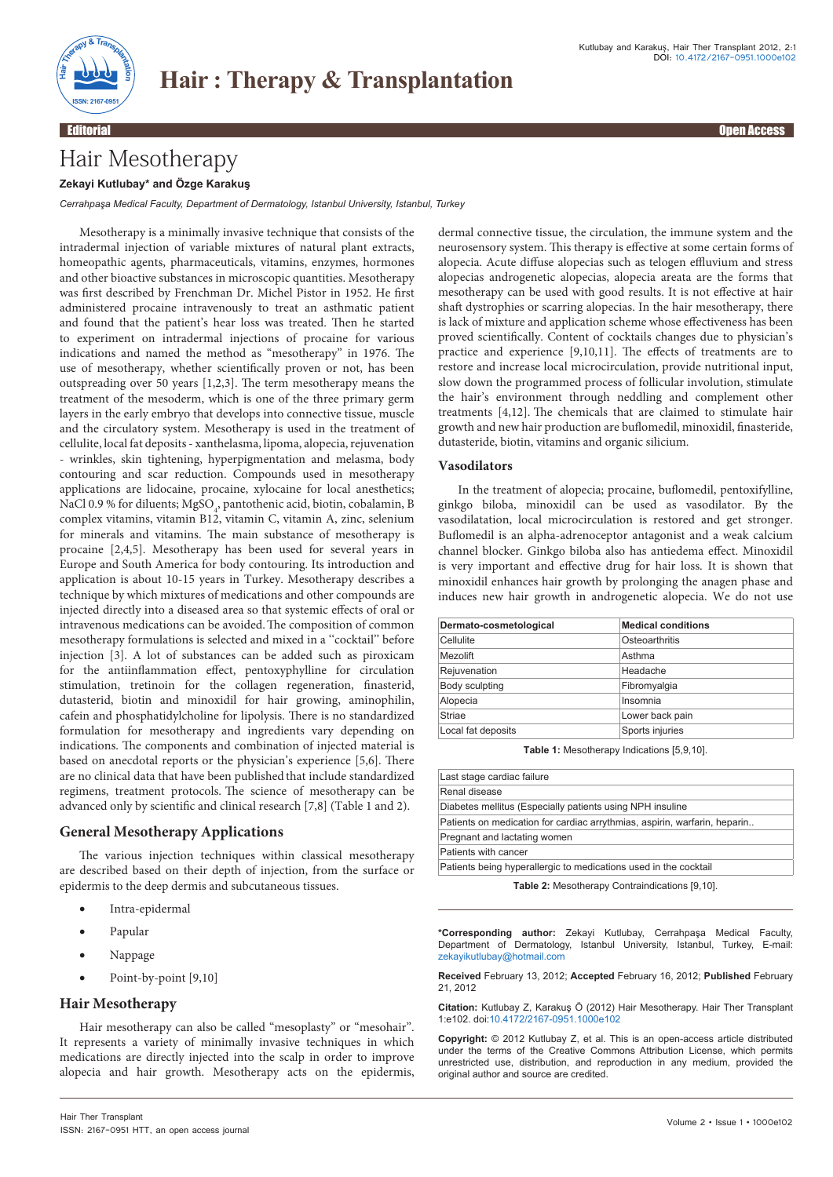

Editorial Open Access

**ISSN: 2167-0951**

# Hair Mesotherapy

## **Zekayi Kutlubay\* and Özge Karakuş**

*Cerrahpaşa Medical Faculty, Department of Dermatology, Istanbul University, Istanbul, Turkey*

Mesotherapy is a minimally invasive technique that consists of the intradermal injection of variable mixtures of natural plant extracts, homeopathic agents, pharmaceuticals, vitamins, enzymes, hormones and other bioactive substances in microscopic quantities. Mesotherapy was first described by Frenchman Dr. Michel Pistor in 1952. He first administered procaine intravenously to treat an asthmatic patient and found that the patient's hear loss was treated. Then he started to experiment on intradermal injections of procaine for various indications and named the method as "mesotherapy" in 1976. The use of mesotherapy, whether scientifically proven or not, has been outspreading over 50 years [1,2,3]. The term mesotherapy means the treatment of the mesoderm, which is one of the three primary germ layers in the early embryo that develops into connective tissue, muscle and the circulatory system. Mesotherapy is used in the treatment of cellulite, local fat deposits - xanthelasma, lipoma, alopecia, rejuvenation - wrinkles, skin tightening, hyperpigmentation and melasma, body contouring and scar reduction. Compounds used in mesotherapy applications are lidocaine, procaine, xylocaine for local anesthetics; NaCl 0.9 % for diluents;  $M$ g $SO_q$ , pantothenic acid, biotin, cobalamin, B complex vitamins, vitamin B12, vitamin C, vitamin A, zinc, selenium for minerals and vitamins. The main substance of mesotherapy is procaine [2,4,5]. Mesotherapy has been used for several years in Europe and South America for body contouring. Its introduction and application is about 10-15 years in Turkey. Mesotherapy describes a technique by which mixtures of medications and other compounds are injected directly into a diseased area so that systemic effects of oral or intravenous medications can be avoided.The composition of common mesotherapy formulations is selected and mixed in a ''cocktail'' before injection [3]. A lot of substances can be added such as piroxicam for the antiinflammation effect, pentoxyphylline for circulation stimulation, tretinoin for the collagen regeneration, finasterid, dutasterid, biotin and minoxidil for hair growing, aminophilin, cafein and phosphatidylcholine for lipolysis. There is no standardized formulation for mesotherapy and ingredients vary depending on indications. The components and combination of injected material is based on anecdotal reports or the physician's experience [5,6]. There are no clinical data that have been published that include standardized regimens, treatment protocols. The science of mesotherapy can be advanced only by scientific and clinical research [7,8] (Table 1 and 2).

## **General Mesotherapy Applications**

The various injection techniques within classical mesotherapy are described based on their depth of injection, from the surface or epidermis to the deep dermis and subcutaneous tissues.

- Intra-epidermal
- Papular
- Nappage
- Point-by-point [9,10]

## **Hair Mesotherapy**

Hair mesotherapy can also be called "mesoplasty" or "mesohair". It represents a variety of minimally invasive techniques in which medications are directly injected into the scalp in order to improve alopecia and hair growth. Mesotherapy acts on the epidermis,

dermal connective tissue, the circulation, the immune system and the neurosensory system. This therapy is effective at some certain forms of alopecia. Acute diffuse alopecias such as telogen effluvium and stress alopecias androgenetic alopecias, alopecia areata are the forms that mesotherapy can be used with good results. It is not effective at hair shaft dystrophies or scarring alopecias. In the hair mesotherapy, there is lack of mixture and application scheme whose effectiveness has been proved scientifically. Content of cocktails changes due to physician's practice and experience [9,10,11]. The effects of treatments are to restore and increase local microcirculation, provide nutritional input, slow down the programmed process of follicular involution, stimulate the hair's environment through neddling and complement other treatments [4,12]. The chemicals that are claimed to stimulate hair growth and new hair production are buflomedil, minoxidil, finasteride, dutasteride, biotin, vitamins and organic silicium.

## **Vasodilators**

In the treatment of alopecia; procaine, buflomedil, pentoxifylline, ginkgo biloba, minoxidil can be used as vasodilator. By the vasodilatation, local microcirculation is restored and get stronger. Buflomedil is an alpha-adrenoceptor antagonist and a weak calcium channel blocker. Ginkgo biloba also has antiedema effect. Minoxidil is very important and effective drug for hair loss. It is shown that minoxidil enhances hair growth by prolonging the anagen phase and induces new hair growth in androgenetic alopecia. We do not use

| Dermato-cosmetological | <b>Medical conditions</b> |  |
|------------------------|---------------------------|--|
| Cellulite              | Osteoarthritis            |  |
| Mezolift               | Asthma                    |  |
| Rejuvenation           | Headache                  |  |
| Body sculpting         | Fibromyalgia              |  |
| Alopecia               | Insomnia                  |  |
| Striae                 | Lower back pain           |  |
| Local fat deposits     | Sports injuries           |  |

**Table 1:** Mesotherapy Indications [5,9,10].

| Last stage cardiac failure                                                |
|---------------------------------------------------------------------------|
| Renal disease                                                             |
| Diabetes mellitus (Especially patients using NPH insuline                 |
| Patients on medication for cardiac arrythmias, aspirin, warfarin, heparin |
| Pregnant and lactating women                                              |
| Patients with cancer                                                      |
| Patients being hyperallergic to medications used in the cocktail          |

**Table 2:** Mesotherapy Contraindications [9,10].

**\*Corresponding author:** Zekayi Kutlubay, Cerrahpaşa Medical Faculty, Department of Dermatology, Istanbul University, Istanbul, Turkey, E-mail: zekayikutlubay@hotmail.com

**Received** February 13, 2012; **Accepted** February 16, 2012; **Published** February 21, 2012

**Citation:** Kutlubay Z, Karakuş Ö (2012) Hair Mesotherapy. Hair Ther Transplant 1:e102. doi:10.4172/2167-0951.1000e102

**Copyright:** © 2012 Kutlubay Z, et al. This is an open-access article distributed under the terms of the Creative Commons Attribution License, which permits unrestricted use, distribution, and reproduction in any medium, provided the original author and source are credited.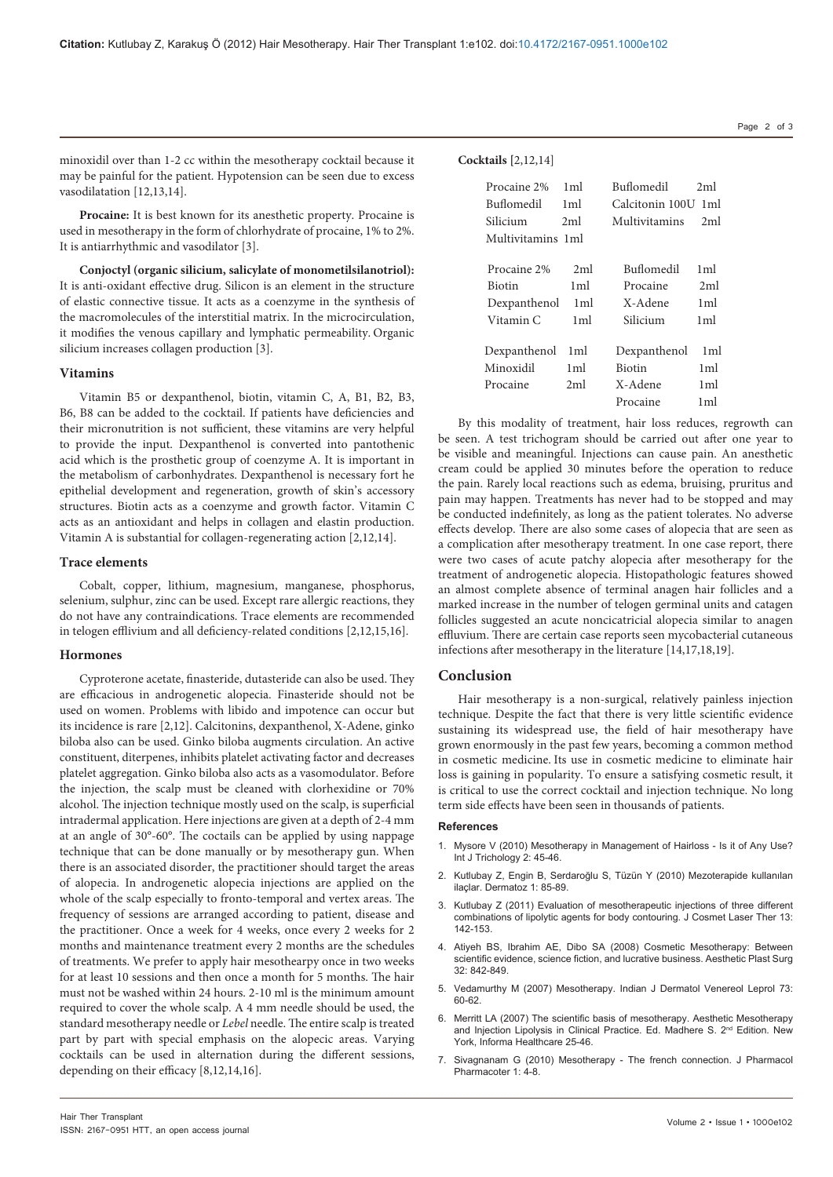minoxidil over than 1-2 cc within the mesotherapy cocktail because it may be painful for the patient. Hypotension can be seen due to excess vasodilatation [12,13,14].

**Procaine:** It is best known for its anesthetic property. Procaine is used in mesotherapy in the form of chlorhydrate of procaine, 1% to 2%. It is antiarrhythmic and vasodilator [3].

**Conjoctyl (organic silicium, salicylate of monometilsilanotriol):**  It is anti-oxidant effective drug. Silicon is an element in the structure of elastic connective tissue. It acts as a coenzyme in the synthesis of the macromolecules of the interstitial matrix. In the microcirculation, it modifies the venous capillary and lymphatic permeability. Organic silicium increases collagen production [3].

### **Vitamins**

Vitamin B5 or dexpanthenol, biotin, vitamin C, A, B1, B2, B3, B6, B8 can be added to the cocktail. If patients have deficiencies and their micronutrition is not sufficient, these vitamins are very helpful to provide the input. Dexpanthenol is converted into pantothenic acid which is the prosthetic group of coenzyme A. It is important in the metabolism of carbonhydrates. Dexpanthenol is necessary fort he epithelial development and regeneration, growth of skin's accessory structures. Biotin acts as a coenzyme and growth factor. Vitamin C acts as an antioxidant and helps in collagen and elastin production. Vitamin A is substantial for collagen-regenerating action [2,12,14].

#### **Trace elements**

Cobalt, copper, lithium, magnesium, manganese, phosphorus, selenium, sulphur, zinc can be used. Except rare allergic reactions, they do not have any contraindications. Trace elements are recommended in telogen efflivium and all deficiency-related conditions [2,12,15,16].

#### **Hormones**

Cyproterone acetate, finasteride, dutasteride can also be used. They are efficacious in androgenetic alopecia. Finasteride should not be used on women. Problems with libido and impotence can occur but its incidence is rare [2,12]. Calcitonins, dexpanthenol, X-Adene, ginko biloba also can be used. Ginko biloba augments circulation. An active constituent, diterpenes, inhibits platelet activating factor and decreases platelet aggregation. Ginko biloba also acts as a vasomodulator. Before the injection, the scalp must be cleaned with clorhexidine or 70% alcohol. The injection technique mostly used on the scalp, is superficial intradermal application. Here injections are given at a depth of 2-4 mm at an angle of 30°-60°. The coctails can be applied by using nappage technique that can be done manually or by mesotherapy gun. When there is an associated disorder, the practitioner should target the areas of alopecia. In androgenetic alopecia injections are applied on the whole of the scalp especially to fronto-temporal and vertex areas. The frequency of sessions are arranged according to patient, disease and the practitioner. Once a week for 4 weeks, once every 2 weeks for 2 months and maintenance treatment every 2 months are the schedules of treatments. We prefer to apply hair mesothearpy once in two weeks for at least 10 sessions and then once a month for 5 months. The hair must not be washed within 24 hours. 2-10 ml is the minimum amount required to cover the whole scalp. A 4 mm needle should be used, the standard mesotherapy needle or *Lebel* needle. The entire scalp is treated part by part with special emphasis on the alopecic areas. Varying cocktails can be used in alternation during the different sessions, depending on their efficacy [8,12,14,16].

#### Page 2 of 3

## **Cocktails [**2,12,14]

| Procaine 2%<br>Buflomedil<br>Silicium<br>Multivitamins 1ml | 1 <sub>m</sub><br>1 <sub>m</sub><br>2ml                    | Buflomedil<br>Calcitonin 100U 1ml<br>Multivitamins   | 2ml<br>2ml                                                |
|------------------------------------------------------------|------------------------------------------------------------|------------------------------------------------------|-----------------------------------------------------------|
| Procaine 2%<br><b>Biotin</b><br>Dexpanthenol<br>Vitamin C  | 2ml<br>1 <sub>m</sub><br>1 <sub>ml</sub><br>1 <sub>m</sub> | Buflomedil<br>Procaine<br>X-Adene<br>Silicium        | 1 ml<br>2ml<br>1 <sub>m</sub><br>1 <sub>m</sub>           |
| Dexpanthenol<br>Minoxidil<br>Procaine                      | 1 <sub>ml</sub><br>1 <sub>m</sub><br>2ml                   | Dexpanthenol<br><b>Biotin</b><br>X-Adene<br>Procaine | 1 <sub>m</sub><br>1 <sub>m</sub><br>1 <sub>m</sub><br>1ml |

By this modality of treatment, hair loss reduces, regrowth can be seen. A test trichogram should be carried out after one year to be visible and meaningful. Injections can cause pain. An anesthetic cream could be applied 30 minutes before the operation to reduce the pain. Rarely local reactions such as edema, bruising, pruritus and pain may happen. Treatments has never had to be stopped and may be conducted indefinitely, as long as the patient tolerates. No adverse effects develop. There are also some cases of alopecia that are seen as a complication after mesotherapy treatment. In one case report, there were two cases of acute patchy alopecia after mesotherapy for the treatment of androgenetic alopecia. Histopathologic features showed an almost complete absence of terminal anagen hair follicles and a marked increase in the number of telogen germinal units and catagen follicles suggested an acute noncicatricial alopecia similar to anagen effluvium. There are certain case reports seen mycobacterial cutaneous infections after mesotherapy in the literature [14,17,18,19].

## **Conclusion**

Hair mesotherapy is a non-surgical, relatively painless injection technique. Despite the fact that there is very little scientific evidence sustaining its widespread use, the field of hair mesotherapy have grown enormously in the past few years, becoming a common method in cosmetic medicine. Its use in cosmetic medicine to eliminate hair loss is gaining in popularity. To ensure a satisfying cosmetic result, it is critical to use the correct cocktail and injection technique. No long term side effects have been seen in thousands of patients.

#### **References**

- 1. [Mysore V \(2010\) Mesotherapy in Management of Hairloss Is it of Any Use?](http://www.ncbi.nlm.nih.gov/pubmed/21188025)  [Int J Trichology 2: 45-46.](http://www.ncbi.nlm.nih.gov/pubmed/21188025)
- 2. [Kutlubay Z, Engin B, Serdaroğlu S, Tüzün Y \(2010\) Mezoterapide kullanılan](http://www.dermatoz.org/makaleler/02/dermatoz_makale_mezoterapi.pdf)  [ilaçlar. Dermatoz 1: 85-89.](http://www.dermatoz.org/makaleler/02/dermatoz_makale_mezoterapi.pdf)
- 3. [Kutlubay Z \(2011\) Evaluation of mesotherapeutic injections of three different](http://www.ncbi.nlm.nih.gov/pubmed/21718184)  [combinations of lipolytic agents for body contouring. J Cosmet Laser Ther 13:](http://www.ncbi.nlm.nih.gov/pubmed/21718184)  [142-153.](http://www.ncbi.nlm.nih.gov/pubmed/21718184)
- 4. [Atiyeh BS, Ibrahim AE, Dibo SA \(2008\) Cosmetic Mesotherapy: Between](http://www.ncbi.nlm.nih.gov/pubmed/18663517)  [scientific evidence, science fiction, and lucrative business. Aesthetic Plast Surg](http://www.ncbi.nlm.nih.gov/pubmed/18663517)  [32: 842-849.](http://www.ncbi.nlm.nih.gov/pubmed/18663517)
- 5. [Vedamurthy M \(2007\) Mesotherapy. Indian J Dermatol Venereol Leprol 73:](http://www.ncbi.nlm.nih.gov/pubmed/17314456)  [60-62.](http://www.ncbi.nlm.nih.gov/pubmed/17314456)
- 6. Merritt LA (2007) The scientific basis of mesotherapy. Aesthetic Mesotherapy and Injection Lipolysis in Clinical Practice. Ed. Madhere S. 2<sup>nd</sup> Edition. New York, Informa Healthcare 25-46.
- 7. [Sivagnanam G \(2010\) Mesotherapy The french connection. J Pharmacol](http://www.ncbi.nlm.nih.gov/pubmed/21808584)  [Pharmacoter 1: 4-8.](http://www.ncbi.nlm.nih.gov/pubmed/21808584)